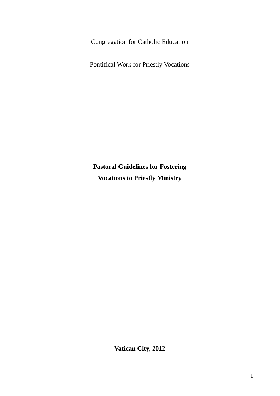Congregation for Catholic Education

Pontifical Work for Priestly Vocations

**Pastoral Guidelines for Fostering Vocations to Priestly Ministry**

**Vatican City, 2012**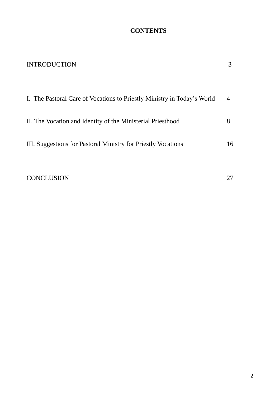### **CONTENTS**

| <b>INTRODUCTION</b>                                                     | 3  |
|-------------------------------------------------------------------------|----|
| I. The Pastoral Care of Vocations to Priestly Ministry in Today's World | 4  |
| II. The Vocation and Identity of the Ministerial Priesthood             | 8  |
| III. Suggestions for Pastoral Ministry for Priestly Vocations           | 16 |
| <b>CONCLUSION</b>                                                       | 27 |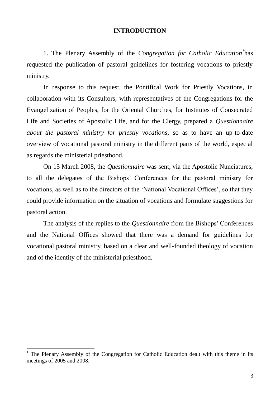### **INTRODUCTION**

1. The Plenary Assembly of the *Congregation for Catholic Education<sup>1</sup>* has requested the publication of pastoral guidelines for fostering vocations to priestly ministry.

In response to this request, the Pontifical Work for Priestly Vocations, in collaboration with its Consultors, with representatives of the Congregations for the Evangelization of Peoples, for the Oriental Churches, for Institutes of Consecrated Life and Societies of Apostolic Life, and for the Clergy, prepared a *Questionnaire about the pastoral ministry for priestly vocations,* so as to have an up-to-date overview of vocational pastoral ministry in the different parts of the world, especial as regards the ministerial priesthood.

On 15 March 2008, the *Questionnaire* was sent, via the Apostolic Nunciatures, to all the delegates of the Bishops' Conferences for the pastoral ministry for vocations, as well as to the directors of the 'National Vocational Offices', so that they could provide information on the situation of vocations and formulate suggestions for pastoral action.

The analysis of the replies to the *Questionnaire* from the Bishops' Conferences and the National Offices showed that there was a demand for guidelines for vocational pastoral ministry, based on a clear and well-founded theology of vocation and of the identity of the ministerial priesthood.

<sup>1</sup> The Plenary Assembly of the Congregation for Catholic Education dealt with this theme in its meetings of 2005 and 2008.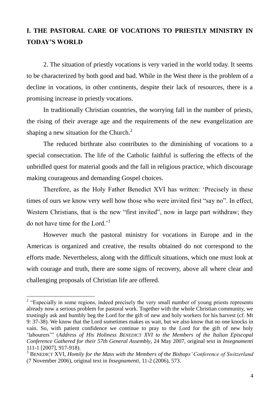# **I. THE PASTORAL CARE OF VOCATIONS TO PRIESTLY MINISTRY IN TODAY'S WORLD**

2. The situation of priestly vocations is very varied in the world today. It seems to be characterized by both good and bad. While in the West there is the problem of a decline in vocations, in other continents, despite their lack of resources, there is a promising increase in priestly vocations.

In traditionally Christian countries, the worrying fall in the number of priests, the rising of their average age and the requirements of the new evangelization are shaping a new situation for the Church. $2<sup>2</sup>$ 

The reduced birthrate also contributes to the diminishing of vocations to a special consecration. The life of the Catholic faithful is suffering the effects of the unbridled quest for material goods and the fall in religious practice, which discourage making courageous and demanding Gospel choices.

Therefore, as the Holy Father Benedict XVI has written: 'Precisely in these times of ours we know very well how those who were invited first "say no". In effect, Western Christians, that is the new "first invited", now in large part withdraw; they do not have time for the Lord.'<sup>3</sup>

However much the pastoral ministry for vocations in Europe and in the Americas is organized and creative, the results obtained do not correspond to the efforts made. Nevertheless, along with the difficult situations, which one must look at with courage and truth, there are some signs of recovery, above all where clear and challenging proposals of Christian life are offered.

<sup>&</sup>lt;sup>2</sup> "Especially in some regions, indeed precisely the very small number of young priests represents already now a serious problem for pastoral work. Together with the whole Christian community, we trustingly ask and humbly beg the Lord for the gift of new and holy workers for his harvest (cf. Mt 9: 37-38). We know that the Lord sometimes makes us wait, but we also know that no one knocks in vain. So, with patient confidence we continue to pray to the Lord for the gift of new holy 'labourers'" (*Address of His Holiness BENEDICT XVI to the Members of the Italian Episcopal Conference Gathered for their 57th General Assembly*, 24 May 2007, original text in *Insegnamenti* 111-1 [2007], 917-918).

<sup>3</sup> BENEDICT XVI, *Homily for the Mass with the Members of the Bishops' Conference of Switzerland* (7 November 2006), original text in *Insegnamenti*, 11-2 (2006), 573.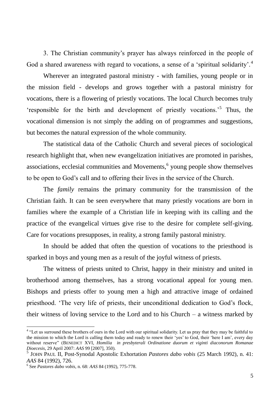3. The Christian community's prayer has always reinforced in the people of God a shared awareness with regard to vocations, a sense of a 'spiritual solidarity'.<sup>4</sup>

Wherever an integrated pastoral ministry - with families, young people or in the mission field - develops and grows together with a pastoral ministry for vocations, there is a flowering of priestly vocations. The local Church becomes truly 'responsible for the birth and development of priestly vocations.'<sup>5</sup> Thus, the vocational dimension is not simply the adding on of programmes and suggestions, but becomes the natural expression of the whole community.

The statistical data of the Catholic Church and several pieces of sociological research highlight that, when new evangelization initiatives are promoted in parishes, associations, ecclesial communities and Movements,<sup>6</sup> young people show themselves to be open to God's call and to offering their lives in the service of the Church.

The *family* remains the primary community for the transmission of the Christian faith. It can be seen everywhere that many priestly vocations are born in families where the example of a Christian life in keeping with its calling and the practice of the evangelical virtues give rise to the desire for complete self-giving. Care for vocations presupposes, in reality, a strong family pastoral ministry.

In should be added that often the question of vocations to the priesthood is sparked in boys and young men as a result of the joyful witness of priests.

The witness of priests united to Christ, happy in their ministry and united in brotherhood among themselves, has a strong vocational appeal for young men. Bishops and priests offer to young men a high and attractive image of ordained priesthood. 'The very life of priests, their unconditional dedication to God's flock, their witness of loving service to the Lord and to his Church – a witness marked by

<sup>&</sup>lt;sup>4</sup> "Let us surround these brothers of ours in the Lord with our spiritual solidarity. Let us pray that they may be faithful to the mission to which the Lord is calling them today and ready to renew their 'yes' to God, their 'here I am', every day without reserve" (BENEDICT XVI, *Homilia in presbyterali Ordinatione duorum et viginti diaconorum Romanae Dioecesis*, 29 April 2007: *AAS* 99 [2007], 350).

<sup>5</sup> JOHN PAUL II, Post-Synodal Apostolic Exhortation *Pastores dabo vobis* (25 March 1992), n. 41: *AAS* 84 (1992), 726.

<sup>6</sup> See *Pastores dabo vobis*, n. 68: *AAS* 84 (1992), 775-778.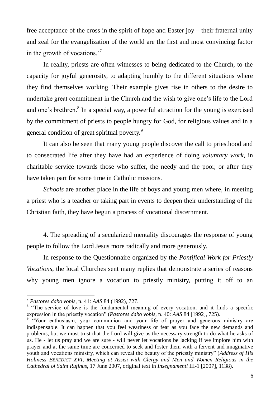free acceptance of the cross in the spirit of hope and Easter joy – their fraternal unity and zeal for the evangelization of the world are the first and most convincing factor in the growth of vocations.'<sup>7</sup>

In reality, priests are often witnesses to being dedicated to the Church, to the capacity for joyful generosity, to adapting humbly to the different situations where they find themselves working. Their example gives rise in others to the desire to undertake great commitment in the Church and the wish to give one's life to the Lord and one's brethren.<sup>8</sup> In a special way, a powerful attraction for the young is exercised by the commitment of priests to people hungry for God, for religious values and in a general condition of great spiritual poverty.<sup>9</sup>

It can also be seen that many young people discover the call to priesthood and to consecrated life after they have had an experience of doing *voluntary work*, in charitable service towards those who suffer, the needy and the poor, or after they have taken part for some time in Catholic missions.

*Schools* are another place in the life of boys and young men where, in meeting a priest who is a teacher or taking part in events to deepen their understanding of the Christian faith, they have begun a process of vocational discernment.

4. The spreading of a secularized mentality discourages the response of young people to follow the Lord Jesus more radically and more generously.

In response to the Questionnaire organized by the *Pontifical Work for Priestly Vocations*, the local Churches sent many replies that demonstrate a series of reasons why young men ignore a vocation to priestly ministry, putting it off to an

<sup>7</sup> *Pastores dabo vobis*, n. 41: *AAS* 84 (1992), 727.

<sup>&</sup>lt;sup>8</sup> "The service of love is the fundamental meaning of every vocation, and it finds a specific expression in the priestly vocation" (*Pastores dabo vobis*, n. 40: *AAS* 84 [1992], 725).

<sup>&</sup>lt;sup>9</sup> "Your enthusiasm, your communion and your life of prayer and generous ministry are indispensable. It can happen that you feel weariness or fear as you face the new demands and problems, but we must trust that the Lord will give us the necessary strength to do what he asks of us. He - let us pray and we are sure - will never let vocations be lacking if we implore him with prayer and at the same time are concerned to seek and foster them with a fervent and imaginative youth and vocations ministry, which can reveal the beauty of the priestly ministry" (*Address of His Holiness BENEDICT XVI, Meeting at Assisi with Clergy and Men and Women Religious in the Cathedral of Saint Rufinus*, 17 June 2007, original text in *Insegnamenti* III-1 [2007], 1138).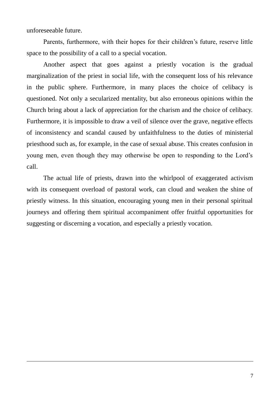unforeseeable future.

1

Parents, furthermore, with their hopes for their children's future, reserve little space to the possibility of a call to a special vocation.

Another aspect that goes against a priestly vocation is the gradual marginalization of the priest in social life, with the consequent loss of his relevance in the public sphere. Furthermore, in many places the choice of celibacy is questioned. Not only a secularized mentality, but also erroneous opinions within the Church bring about a lack of appreciation for the charism and the choice of celibacy. Furthermore, it is impossible to draw a veil of silence over the grave, negative effects of inconsistency and scandal caused by unfaithfulness to the duties of ministerial priesthood such as, for example, in the case of sexual abuse. This creates confusion in young men, even though they may otherwise be open to responding to the Lord's call.

The actual life of priests, drawn into the whirlpool of exaggerated activism with its consequent overload of pastoral work, can cloud and weaken the shine of priestly witness. In this situation, encouraging young men in their personal spiritual journeys and offering them spiritual accompaniment offer fruitful opportunities for suggesting or discerning a vocation, and especially a priestly vocation.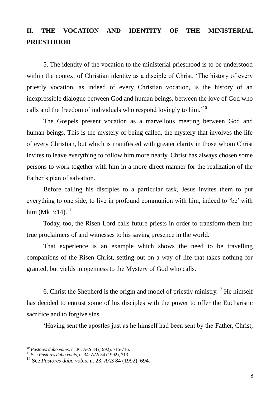# **II. THE VOCATION AND IDENTITY OF THE MINISTERIAL PRIESTHOOD**

5. The identity of the vocation to the ministerial priesthood is to be understood within the context of Christian identity as a disciple of Christ. 'The history of every priestly vocation, as indeed of every Christian vocation, is the history of an inexpressible dialogue between God and human beings, between the love of God who calls and the freedom of individuals who respond lovingly to him.'<sup>10</sup>

The Gospels present vocation as a marvellous meeting between God and human beings. This is the mystery of being called, the mystery that involves the life of every Christian, but which is manifested with greater clarity in those whom Christ invites to leave everything to follow him more nearly. Christ has always chosen some persons to work together with him in a more direct manner for the realization of the Father's plan of salvation.

Before calling his disciples to a particular task, Jesus invites them to put everything to one side, to live in profound communion with him, indeed to 'be' with him (Mk 3:14). $^{11}$ 

Today, too, the Risen Lord calls future priests in order to transform them into true proclaimers of and witnesses to his saving presence in the world.

That experience is an example which shows the need to be travelling companions of the Risen Christ, setting out on a way of life that takes nothing for granted, but yields in openness to the Mystery of God who calls.

6. Christ the Shepherd is the origin and model of priestly ministry.<sup>12</sup> He himself has decided to entrust some of his disciples with the power to offer the Eucharistic sacrifice and to forgive sins.

'Having sent the apostles just as he himself had been sent by the Father, Christ,

<sup>10</sup> *Pastores dabo vobis*, n. 36: *AAS* 84 (1992), 715-716.

<sup>11</sup> See *Pastores dabo vobis*, n. 34: *AAS* 84 (1992), 713.

<sup>12</sup> See *Pastores dabo vobis*, n. 23: *AAS* 84 (1992), 694.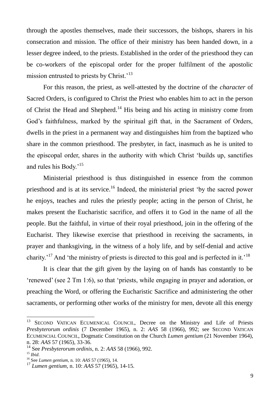through the apostles themselves, made their successors, the bishops, sharers in his consecration and mission. The office of their ministry has been handed down, in a lesser degree indeed, to the priests. Established in the order of the priesthood they can be co-workers of the episcopal order for the proper fulfilment of the apostolic mission entrusted to priests by Christ.<sup>'13</sup>

For this reason, the priest, as well-attested by the doctrine of the *character* of Sacred Orders, is configured to Christ the Priest who enables him to act in the person of Christ the Head and Shepherd.<sup>14</sup> His being and his acting in ministry come from God's faithfulness, marked by the spiritual gift that, in the Sacrament of Orders, dwells in the priest in a permanent way and distinguishes him from the baptized who share in the common priesthood. The presbyter, in fact, inasmuch as he is united to the episcopal order, shares in the authority with which Christ 'builds up, sanctifies and rules his Body.'<sup>15</sup>

Ministerial priesthood is thus distinguished in essence from the common priesthood and is at its service.<sup>16</sup> Indeed, the ministerial priest 'by the sacred power he enjoys, teaches and rules the priestly people; acting in the person of Christ, he makes present the Eucharistic sacrifice, and offers it to God in the name of all the people. But the faithful, in virtue of their royal priesthood, join in the offering of the Eucharist. They likewise exercise that priesthood in receiving the sacraments, in prayer and thanksgiving, in the witness of a holy life, and by self-denial and active charity.<sup>'17</sup> And 'the ministry of priests is directed to this goal and is perfected in it.<sup>'18</sup>

It is clear that the gift given by the laying on of hands has constantly to be 'renewed' (see 2 Tm 1:6), so that 'priests, while engaging in prayer and adoration, or preaching the Word, or offering the Eucharistic Sacrifice and administering the other sacraments, or performing other works of the ministry for men, devote all this energy

<sup>13</sup> SECOND VATICAN ECUMENICAL COUNCIL, Decree on the Ministry and Life of Priests *Presbyterorum ordinis* (7 December 1965), n. 2: *AAS* 58 (1966), 992; see SECOND VATICAN ECUMENCIAL COUNCIL, Dogmatic Constitution on the Church *Lumen gentium* (21 November 1964), n. 28: *AAS* 57 (1965), 33-36.

<sup>14</sup> See *Presbyterorum ordinis*, n. 2: *AAS* 58 (1966), 992.

<sup>15</sup> *Ibid*.

<sup>16</sup> See *Lumen gentium*, n. 10: *AAS* 57 (1965), 14.

<sup>17</sup> *Lumen gentium*, n. 10: *AAS* 57 (1965), 14-15.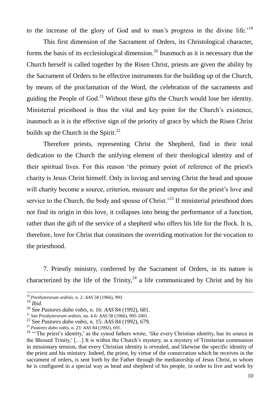to the increase of the glory of God and to man's progress in the divine life.'<sup>19</sup>

This first dimension of the Sacrament of Orders, its Christological character, forms the basis of its ecclesiological dimension.<sup>20</sup> Inasmuch as it is necessary that the Church herself is called together by the Risen Christ, priests are given the ability by the Sacrament of Orders to be effective instruments for the building up of the Church, by means of the proclamation of the Word, the celebration of the sacraments and guiding the People of God.<sup>21</sup> Without these gifts the Church would lose her identity. Ministerial priesthood is thus the vital and key point for the Church's existence, inasmuch as it is the effective sign of the priority of grace by which the Risen Christ builds up the Church in the Spirit. $^{22}$ 

Therefore priests, representing Christ the Shepherd, find in their total dedication to the Church the unifying element of their theological identity and of their spiritual lives. For this reason 'the primary point of reference of the priest's charity is Jesus Christ himself. Only in loving and serving Christ the head and spouse will charity become a source, criterion, measure and impetus for the priest's love and service to the Church, the body and spouse of Christ.<sup> $23$ </sup> If ministerial priesthood does not find its origin in this love, it collapses into being the performance of a function, rather than the gift of the service of a shepherd who offers his life for the flock. It is, therefore, love for Christ that constitutes the overriding motivation for the vocation to the priesthood.

7. Priestly ministry, conferred by the Sacrament of Orders, in its nature is characterized by the life of the Trinity,  $24$  a life communicated by Christ and by his

<sup>18</sup> *Presbyterorum ordinis*, n. 2: *AAS* 58 (1966), 993.

<sup>19</sup> *Ibid*.

<sup>20</sup> See *Pastores dabo vobis*, n. 16: *AAS* 84 (1992), 681.

<sup>21</sup> See *Presbyterorum ordinis*, nn. 4-6: *AAS* 58 (1966), 995-1001.

<sup>22</sup> See *Pastores dabo vobis*, n. 15: *AAS* 84 (1992), 679.

<sup>23</sup> *Pastores dabo vobis*, n. 23: *AAS* 84 (1992), 691.

 $24$  "The priest's identity,' as the synod fathers wrote, 'like every Christian identity, has its source in the Blessed Trinity,' […] It is within the Church's mystery, as a mystery of Trinitarian communion in missionary tension, that every Christian identity is revealed, and likewise the specific identity of the priest and his ministry. Indeed, the priest, by virtue of the consecration which he receives in the sacrament of orders, is sent forth by the Father through the mediatorship of Jesus Christ, to whom he is configured in a special way as head and shepherd of his people, in order to live and work by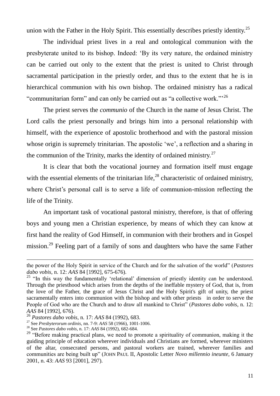union with the Father in the Holy Spirit. This essentially describes priestly identity.<sup>25</sup>

The individual priest lives in a real and ontological communion with the presbyterate united to its bishop. Indeed: 'By its very nature, the ordained ministry can be carried out only to the extent that the priest is united to Christ through sacramental participation in the priestly order, and thus to the extent that he is in hierarchical communion with his own bishop. The ordained ministry has a radical "communitarian form" and can only be carried out as "a collective work."'<sup>26</sup>

The priest serves the *communio* of the Church in the name of Jesus Christ. The Lord calls the priest personally and brings him into a personal relationship with himself, with the experience of apostolic brotherhood and with the pastoral mission whose origin is supremely trinitarian. The apostolic 'we', a reflection and a sharing in the communion of the Trinity, marks the identity of ordained ministry. $27$ 

It is clear that both the vocational journey and formation itself must engage with the essential elements of the trinitarian life, $^{28}$  characteristic of ordained ministry, where Christ's personal call is to serve a life of communion-mission reflecting the life of the Trinity.

An important task of vocational pastoral ministry, therefore, is that of offering boys and young men a Christian experience, by means of which they can know at first hand the reality of God Himself, in communion with their brothers and in Gospel mission.<sup>29</sup> Feeling part of a family of sons and daughters who have the same Father

the power of the Holy Spirit in service of the Church and for the salvation of the world" (*Pastores dabo vobis*, n. 12: *AAS* 84 [1992], 675-676).

 $25$  "In this way the fundamentally 'relational' dimension of priestly identity can be understood. Through the priesthood which arises from the depths of the ineffable mystery of God, that is, from the love of the Father, the grace of Jesus Christ and the Holy Spirit's gift of unity, the priest sacramentally enters into communion with the bishop and with other priests in order to serve the People of God who are the Church and to draw all mankind to Christ" (*Pastores dabo vobis*, n. 12: *AAS* 84 [1992], 676).

<sup>26</sup> *Pastores dabo vobis*, n. 17: *AAS* 84 (1992), 683.

<sup>27</sup> See *Presbyterorum ordinis*, nn. 7-9: *AAS* 58 (1966), 1001-1006.

<sup>28</sup> See *Pastores dabo vobis*, n. 17: *AAS* 84 (1992), 682-684.

<sup>&</sup>lt;sup>29</sup> "Before making practical plans, we need to promote a spirituality of communion, making it the guiding principle of education wherever individuals and Christians are formed, wherever ministers of the altar, consecrated persons, and pastoral workers are trained, wherever families and communities are being built up" (JOHN PAUL II, Apostolic Letter *Novo millennio ineunte,* 6 January 2001, n. 43: *AAS* 93 [2001], 297).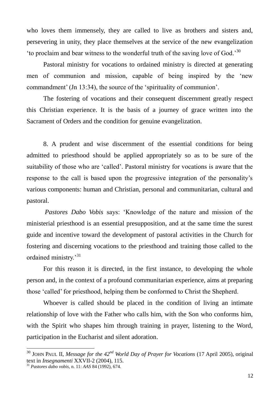who loves them immensely, they are called to live as brothers and sisters and, persevering in unity, they place themselves at the service of the new evangelization 'to proclaim and bear witness to the wonderful truth of the saving love of God.'<sup>30</sup>

Pastoral ministry for vocations to ordained ministry is directed at generating men of communion and mission, capable of being inspired by the 'new commandment' (Jn 13:34), the source of the 'spirituality of communion'.

The fostering of vocations and their consequent discernment greatly respect this Christian experience. It is the basis of a journey of grace written into the Sacrament of Orders and the condition for genuine evangelization.

8. A prudent and wise discernment of the essential conditions for being admitted to priesthood should be applied appropriately so as to be sure of the suitability of those who are 'called'. Pastoral ministry for vocations is aware that the response to the call is based upon the progressive integration of the personality's various components: human and Christian, personal and communitarian, cultural and pastoral.

*Pastores Dabo Vobis* says: 'Knowledge of the nature and mission of the ministerial priesthood is an essential presupposition, and at the same time the surest guide and incentive toward the development of pastoral activities in the Church for fostering and discerning vocations to the priesthood and training those called to the ordained ministry.'<sup>31</sup>

For this reason it is directed, in the first instance, to developing the whole person and, in the context of a profound communitarian experience, aims at preparing those 'called' for priesthood, helping them be conformed to Christ the Shepherd.

Whoever is called should be placed in the condition of living an intimate relationship of love with the Father who calls him, with the Son who conforms him, with the Spirit who shapes him through training in prayer, listening to the Word, participation in the Eucharist and silent adoration.

<sup>30</sup> JOHN PAUL II, *Message for the 42nd World Day of Prayer for Vocations* (17 April 2005), original text in *Insegnamenti* XXVII-2 (2004), 115.

<sup>31</sup> *Pastores dabo vobis*, n. 11: *AAS* 84 (1992), 674.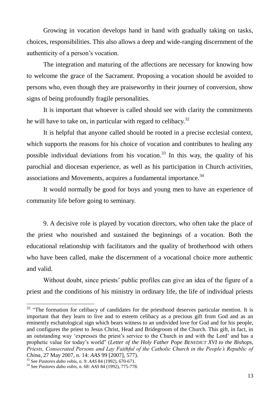Growing in vocation develops hand in hand with gradually taking on tasks, choices, responsibilities. This also allows a deep and wide-ranging discernment of the authenticity of a person's vocation.

The integration and maturing of the affections are necessary for knowing how to welcome the grace of the Sacrament. Proposing a vocation should be avoided to persons who, even though they are praiseworthy in their journey of conversion, show signs of being profoundly fragile personalities.

It is important that whoever is called should see with clarity the commitments he will have to take on, in particular with regard to celibacy.<sup>32</sup>

It is helpful that anyone called should be rooted in a precise ecclesial context, which supports the reasons for his choice of vocation and contributes to healing any possible individual deviations from his vocation.<sup>33</sup> In this way, the quality of his parochial and diocesan experience, as well as his participation in Church activities, associations and Movements, acquires a fundamental importance.<sup>34</sup>

It would normally be good for boys and young men to have an experience of community life before going to seminary.

9. A decisive role is played by vocation directors, who often take the place of the priest who nourished and sustained the beginnings of a vocation. Both the educational relationship with facilitators and the quality of brotherhood with others who have been called, make the discernment of a vocational choice more authentic and valid.

Without doubt, since priests' public profiles can give an idea of the figure of a priest and the conditions of his ministry in ordinary life, the life of individual priests

 $32$  "The formation for celibacy of candidates for the priesthood deserves particular mention. It is important that they learn to live and to esteem celibacy as a precious gift from God and as an eminently eschatological sign which bears witness to an undivided love for God and for his people, and configures the priest to Jesus Christ, Head and Bridegroom of the Church. This gift, in fact, in an outstanding way 'expresses the priest's service to the Church in and with the Lord' and has a prophetic value for today's world" (*Letter of the Holy Father Pope BENEDICT XVI to the Bishops, Priests, Consecrated Persons and Lay Faithful of the Catholic Church in the People's Republic of China*, 27 May 2007, n. 14: *AAS* 99 [2007], 577).

<sup>33</sup> See *Pastores dabo vo*bis, n. 9: *AAS* 84 (1992), 670-671.

<sup>34</sup> See *Pastores dabo vobis*, n. 68: *AAS* 84 (1992), 775-778.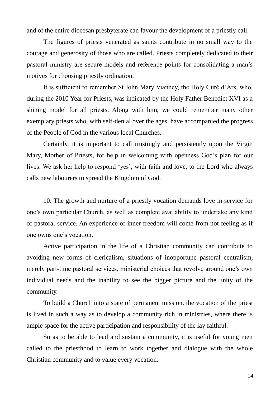and of the entire diocesan presbyterate can favour the development of a priestly call.

The figures of priests venerated as saints contribute in no small way to the courage and generosity of those who are called. Priests completely dedicated to their pastoral ministry are secure models and reference points for consolidating a man's motives for choosing priestly ordination.

It is sufficient to remember St John Mary Vianney, the Holy Curé d'Ars, who, during the 2010 Year for Priests, was indicated by the Holy Father Benedict XVI as a shining model for all priests. Along with him, we could remember many other exemplary priests who, with self-denial over the ages, have accompanied the progress of the People of God in the various local Churches.

Certainly, it is important to call trustingly and persistently upon the Virgin Mary, Mother of Priests, for help in welcoming with openness God's plan for our lives. We ask her help to respond 'yes', with faith and love, to the Lord who always calls new labourers to spread the Kingdom of God.

10. The growth and nurture of a priestly vocation demands love in service for one's own particular Church, as well as complete availability to undertake any kind of pastoral service. An experience of inner freedom will come from not feeling as if one owns one's vocation.

Active participation in the life of a Christian community can contribute to avoiding new forms of clericalism, situations of inopportune pastoral centralism, merely part-time pastoral services, ministerial choices that revolve around one's own individual needs and the inability to see the bigger picture and the unity of the community.

To build a Church into a state of permanent mission, the vocation of the priest is lived in such a way as to develop a community rich in ministries, where there is ample space for the active participation and responsibility of the lay faithful.

So as to be able to lead and sustain a community, it is useful for young men called to the priesthood to learn to work together and dialogue with the whole Christian community and to value every vocation.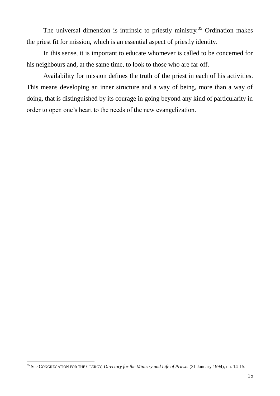The universal dimension is intrinsic to priestly ministry.<sup>35</sup> Ordination makes the priest fit for mission, which is an essential aspect of priestly identity.

In this sense, it is important to educate whomever is called to be concerned for his neighbours and, at the same time, to look to those who are far off.

Availability for mission defines the truth of the priest in each of his activities. This means developing an inner structure and a way of being, more than a way of doing, that is distinguished by its courage in going beyond any kind of particularity in order to open one's heart to the needs of the new evangelization.

<sup>35</sup> See CONGREGATION FOR THE CLERGY, *Directory for the Ministry and Life of Priests* (31 January 1994), nn. 14-15.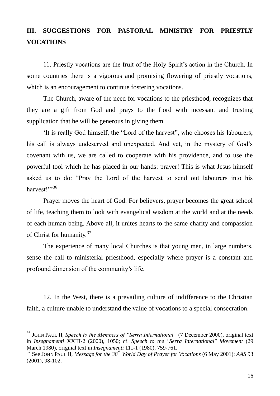## **III. SUGGESTIONS FOR PASTORAL MINISTRY FOR PRIESTLY VOCATIONS**

11. Priestly vocations are the fruit of the Holy Spirit's action in the Church. In some countries there is a vigorous and promising flowering of priestly vocations, which is an encouragement to continue fostering vocations.

The Church, aware of the need for vocations to the priesthood, recognizes that they are a gift from God and prays to the Lord with incessant and trusting supplication that he will be generous in giving them.

'It is really God himself, the "Lord of the harvest", who chooses his labourers; his call is always undeserved and unexpected. And yet, in the mystery of God's covenant with us, we are called to cooperate with his providence, and to use the powerful tool which he has placed in our hands: prayer! This is what Jesus himself asked us to do: "Pray the Lord of the harvest to send out labourers into his harvest!"<sup>36</sup>

Prayer moves the heart of God. For believers, prayer becomes the great school of life, teaching them to look with evangelical wisdom at the world and at the needs of each human being. Above all, it unites hearts to the same charity and compassion of Christ for humanity.<sup>37</sup>

The experience of many local Churches is that young men, in large numbers, sense the call to ministerial priesthood, especially where prayer is a constant and profound dimension of the community's life.

12. In the West, there is a prevailing culture of indifference to the Christian faith, a culture unable to understand the value of vocations to a special consecration.

<sup>36</sup> JOHN PAUL II, *Speech to the Members of "Serra International"* (7 December 2000), original text in *Insegnamenti* XXIII-2 (2000), 1050; cf. *Speech to the "Serra International" Movement* (29 March 1980), original text in *Insegnamenti* 111-1 (1980), 759-761.

<sup>37</sup> See JOHN PAUL II, *Message for the 38th World Day of Prayer for Vocations* (6 May 2001): *AAS* 93 (2001), 98-102.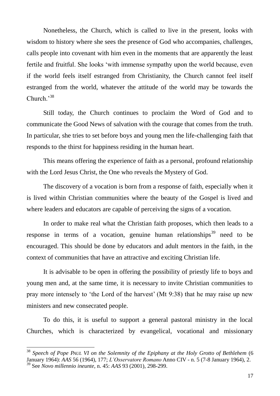Nonetheless, the Church, which is called to live in the present, looks with wisdom to history where she sees the presence of God who accompanies, challenges, calls people into covenant with him even in the moments that are apparently the least fertile and fruitful. She looks 'with immense sympathy upon the world because, even if the world feels itself estranged from Christianity, the Church cannot feel itself estranged from the world, whatever the attitude of the world may be towards the Church.'<sup>38</sup>

Still today, the Church continues to proclaim the Word of God and to communicate the Good News of salvation with the courage that comes from the truth. In particular, she tries to set before boys and young men the life-challenging faith that responds to the thirst for happiness residing in the human heart.

This means offering the experience of faith as a personal, profound relationship with the Lord Jesus Christ, the One who reveals the Mystery of God.

The discovery of a vocation is born from a response of faith, especially when it is lived within Christian communities where the beauty of the Gospel is lived and where leaders and educators are capable of perceiving the signs of a vocation.

In order to make real what the Christian faith proposes, which then leads to a response in terms of a vocation, genuine human relationships<sup>39</sup> need to be encouraged. This should be done by educators and adult mentors in the faith, in the context of communities that have an attractive and exciting Christian life.

It is advisable to be open in offering the possibility of priestly life to boys and young men and, at the same time, it is necessary to invite Christian communities to pray more intensely to 'the Lord of the harvest' (Mt 9:38) that he may raise up new ministers and new consecrated people.

To do this, it is useful to support a general pastoral ministry in the local Churches, which is characterized by evangelical, vocational and missionary

<sup>38</sup> *Speech of Pope PAUL VI on the Solemnity of the Epiphany at the Holy Grotto of Bethlehem* (6 January 1964): *AAS* 56 (1964), 177; *L'Osservatore Romano* Anno CIV - n. 5 (7-8 January 1964), 2. <sup>39</sup> See *Novo millennio ineunte*, n. 45: *AAS* 93 (2001), 298-299.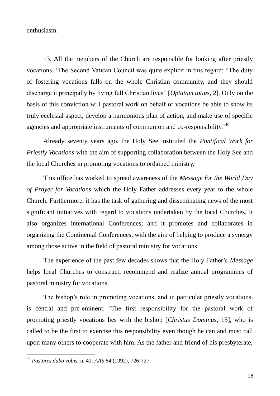enthusiasm.

13. All the members of the Church are responsible for looking after priestly vocations. 'The Second Vatican Council was quite explicit in this regard: "The duty of fostering vocations falls on the whole Christian community, and they should discharge it principally by living full Christian lives" [*Optatam totius*, 2]. Only on the basis of this conviction will pastoral work on behalf of vocations be able to show its truly ecclesial aspect, develop a harmonious plan of action, and make use of specific agencies and appropriate instruments of communion and co-responsibility.'<sup>40</sup>

Already seventy years ago, the Holy See instituted the *Pontifical Work for Priestly Vocations* with the aim of supporting collaboration between the Holy See and the local Churches in promoting vocations to ordained ministry.

This office has worked to spread awareness of the *Message for the World Day of Prayer for Vocations* which the Holy Father addresses every year to the whole Church. Furthermore, it has the task of gathering and disseminating news of the most significant initiatives with regard to vocations undertaken by the local Churches. It also organizes international Conferences; and it promotes and collaborates in organizing the Continental Conferences, with the aim of helping to produce a synergy among those active in the field of pastoral ministry for vocations.

The experience of the past few decades shows that the Holy Father's *Message* helps local Churches to construct, recommend and realize annual programmes of pastoral ministry for vocations.

The bishop's role in promoting vocations, and in particular priestly vocations, is central and pre-eminent. 'The first responsibility for the pastoral work of promoting priestly vocations lies with the bishop [*Christus Dominus*, 15], who is called to be the first to exercise this responsibility even though he can and must call upon many others to cooperate with him. As the father and friend of his presbyterate,

<sup>40</sup> *Pastores dabo vobis*, n. 41: *AAS* 84 (1992), 726-727.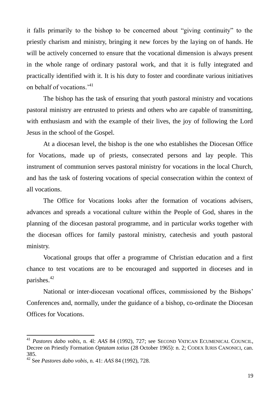it falls primarily to the bishop to be concerned about "giving continuity" to the priestly charism and ministry, bringing it new forces by the laying on of hands. He will be actively concerned to ensure that the vocational dimension is always present in the whole range of ordinary pastoral work, and that it is fully integrated and practically identified with it. It is his duty to foster and coordinate various initiatives on behalf of vocations.<sup>'41</sup>

The bishop has the task of ensuring that youth pastoral ministry and vocations pastoral ministry are entrusted to priests and others who are capable of transmitting, with enthusiasm and with the example of their lives, the joy of following the Lord Jesus in the school of the Gospel.

At a diocesan level, the bishop is the one who establishes the Diocesan Office for Vocations, made up of priests, consecrated persons and lay people. This instrument of communion serves pastoral ministry for vocations in the local Church, and has the task of fostering vocations of special consecration within the context of all vocations.

The Office for Vocations looks after the formation of vocations advisers, advances and spreads a vocational culture within the People of God, shares in the planning of the diocesan pastoral programme, and in particular works together with the diocesan offices for family pastoral ministry, catechesis and youth pastoral ministry.

Vocational groups that offer a programme of Christian education and a first chance to test vocations are to be encouraged and supported in dioceses and in parishes.<sup>42</sup>

National or inter-diocesan vocational offices, commissioned by the Bishops' Conferences and, normally, under the guidance of a bishop, co-ordinate the Diocesan Offices for Vocations.

<sup>41</sup> *Pastores dabo vobis*, n. 4l: *AAS* 84 (1992), 727; see SECOND VATICAN ECUMENICAL COUNCIL, Decree on Priestly Formation *Optatam totius* (28 October 1965): n. 2; CODEX IURIS CANONICI, can. 385.

<sup>42</sup> See *Pastores dabo vobis*, n. 41: *AAS* 84 (1992), 728.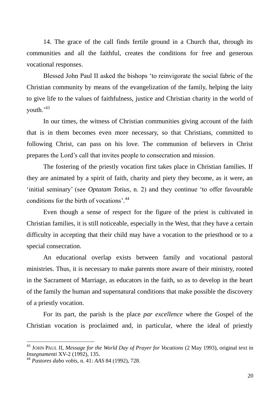14. The grace of the call finds fertile ground in a Church that, through its communities and all the faithful, creates the conditions for free and generous vocational responses.

Blessed John Paul II asked the bishops 'to reinvigorate the social fabric of the Christian community by means of the evangelization of the family, helping the laity to give life to the values of faithfulness, justice and Christian charity in the world of youth.'43

In our times, the witness of Christian communities giving account of the faith that is in them becomes even more necessary, so that Christians, committed to following Christ, can pass on his love. The communion of believers in Christ prepares the Lord's call that invites people to consecration and mission.

The fostering of the priestly vocation first takes place in Christian families. If they are animated by a spirit of faith, charity and piety they become, as it were, an 'initial seminary' (see *Optatam Totius*, n. 2) and they continue 'to offer favourable conditions for the birth of vocations'.<sup>44</sup>

Even though a sense of respect for the figure of the priest is cultivated in Christian families, it is still noticeable, especially in the West, that they have a certain difficulty in accepting that their child may have a vocation to the priesthood or to a special consecration.

An educational overlap exists between family and vocational pastoral ministries. Thus, it is necessary to make parents more aware of their ministry, rooted in the Sacrament of Marriage, as educators in the faith, so as to develop in the heart of the family the human and supernatural conditions that make possible the discovery of a priestly vocation.

For its part, the parish is the place *par excellence* where the Gospel of the Christian vocation is proclaimed and, in particular, where the ideal of priestly

<sup>43</sup> JOHN PAUL II, *Message for the World Day of Prayer for Vocations* (2 May 1993), original text in *Insegnamenti* XV-2 (1992), 135.

<sup>44</sup> *Pastores dabo vobis*, n. 41: *AAS* 84 (1992), 728.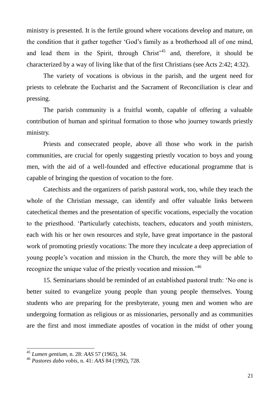ministry is presented. It is the fertile ground where vocations develop and mature, on the condition that it gather together 'God's family as a brotherhood all of one mind, and lead them in the Spirit, through Christ<sup>45</sup> and, therefore, it should be characterized by a way of living like that of the first Christians (see Acts 2:42; 4:32).

The variety of vocations is obvious in the parish, and the urgent need for priests to celebrate the Eucharist and the Sacrament of Reconciliation is clear and pressing.

The parish community is a fruitful womb, capable of offering a valuable contribution of human and spiritual formation to those who journey towards priestly ministry.

Priests and consecrated people, above all those who work in the parish communities, are crucial for openly suggesting priestly vocation to boys and young men, with the aid of a well-founded and effective educational programme that is capable of bringing the question of vocation to the fore.

Catechists and the organizers of parish pastoral work, too, while they teach the whole of the Christian message, can identify and offer valuable links between catechetical themes and the presentation of specific vocations, especially the vocation to the priesthood. 'Particularly catechists, teachers, educators and youth ministers, each with his or her own resources and style, have great importance in the pastoral work of promoting priestly vocations: The more they inculcate a deep appreciation of young people's vocation and mission in the Church, the more they will be able to recognize the unique value of the priestly vocation and mission.'<sup>46</sup>

15. Seminarians should be reminded of an established pastoral truth: 'No one is better suited to evangelize young people than young people themselves. Young students who are preparing for the presbyterate, young men and women who are undergoing formation as religious or as missionaries, personally and as communities are the first and most immediate apostles of vocation in the midst of other young

<sup>45</sup> *Lumen gentium*, n. 28: *AAS* 57 (1965), 34.

<sup>46</sup> *Pastores dabo vobis*, n. 41: *AAS* 84 (1992), 728.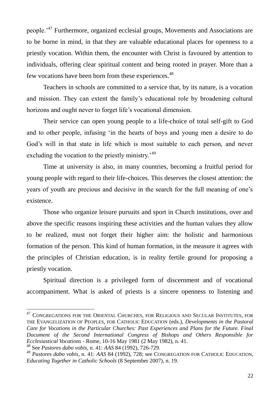people.'<sup>47</sup> Furthermore, organized ecclesial groups, Movements and Associations are to be borne in mind, in that they are valuable educational places for openness to a priestly vocation. Within them, the encounter with Christ is favoured by attention to individuals, offering clear spiritual content and being rooted in prayer. More than a few vocations have been born from these experiences.<sup>48</sup>

Teachers in schools are committed to a service that, by its nature, is a vocation and mission. They can extent the family's educational role by broadening cultural horizons and ought never to forget life's vocational dimension.

Their service can open young people to a life-choice of total self-gift to God and to other people, infusing 'in the hearts of boys and young men a desire to do God's will in that state in life which is most suitable to each person, and never excluding the vocation to the priestly ministry.<sup>49</sup>

Time at university is also, in many countries, becoming a fruitful period for young people with regard to their life-choices. This deserves the closest attention: the years of youth are precious and decisive in the search for the full meaning of one's existence.

Those who organize leisure pursuits and sport in Church institutions, over and above the specific reasons inspiring these activities and the human values they allow to be realized, must not forget their higher aim: the holistic and harmonious formation of the person. This kind of human formation, in the measure it agrees with the principles of Christian education, is in reality fertile ground for proposing a priestly vocation.

Spiritual direction is a privileged form of discernment and of vocational accompaniment. What is asked of priests is a sincere openness to listening and

<sup>&</sup>lt;sup>47</sup> CONGREGATIONS FOR THE ORIENTAL CHURCHES, FOR RELIGIOUS AND SECULAR INSTITUTES, FOR THE EVANGELIZATION OF PEOPLES, FOR CATHOLIC EDUCATION (eds.), *Developments in the Pastoral Care for Vocations in the Particular Churches: Past Experiences and Plans for the Future. Final Document of the Second International Congress of Bishops and Others Responsible for Ecclesiastical Vocations* - Rome, 10-16 May 1981 (2 May 1982), n. 41.

<sup>48</sup> See *Pastores dabo vobis*, n. 41: *AAS* 84 (1992), 726-729.

<sup>49</sup> *Pastores dabo vobis*, n. 41: *AAS* 84 (1992), 728; see CONGREGATION FOR CATHOLIC EDUCATION, *Educating Together in Catholic Schools* (8 September 2007), n. 19.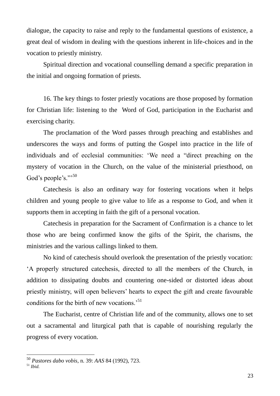dialogue, the capacity to raise and reply to the fundamental questions of existence, a great deal of wisdom in dealing with the questions inherent in life-choices and in the vocation to priestly ministry.

Spiritual direction and vocational counselling demand a specific preparation in the initial and ongoing formation of priests.

16. The key things to foster priestly vocations are those proposed by formation for Christian life: listening to the Word of God, participation in the Eucharist and exercising charity.

The proclamation of the Word passes through preaching and establishes and underscores the ways and forms of putting the Gospel into practice in the life of individuals and of ecclesial communities: 'We need a "direct preaching on the mystery of vocation in the Church, on the value of the ministerial priesthood, on God's people's."<sup>50</sup>

Catechesis is also an ordinary way for fostering vocations when it helps children and young people to give value to life as a response to God, and when it supports them in accepting in faith the gift of a personal vocation.

Catechesis in preparation for the Sacrament of Confirmation is a chance to let those who are being confirmed know the gifts of the Spirit, the charisms, the ministries and the various callings linked to them.

No kind of catechesis should overlook the presentation of the priestly vocation: 'A properly structured catechesis, directed to all the members of the Church, in addition to dissipating doubts and countering one-sided or distorted ideas about priestly ministry, will open believers' hearts to expect the gift and create favourable conditions for the birth of new vocations.<sup>51</sup>

The Eucharist, centre of Christian life and of the community, allows one to set out a sacramental and liturgical path that is capable of nourishing regularly the progress of every vocation.

<sup>50</sup> *Pastores dabo vobis,* n. 39: *AAS* 84 (1992), 723.

<sup>51</sup> *Ibid.*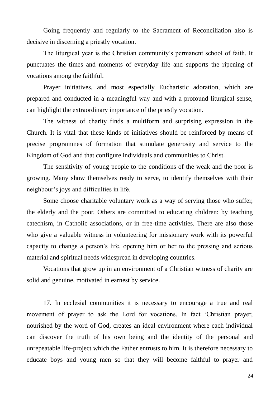Going frequently and regularly to the Sacrament of Reconciliation also is decisive in discerning a priestly vocation.

The liturgical year is the Christian community's permanent school of faith. It punctuates the times and moments of everyday life and supports the ripening of vocations among the faithful.

Prayer initiatives, and most especially Eucharistic adoration, which are prepared and conducted in a meaningful way and with a profound liturgical sense, can highlight the extraordinary importance of the priestly vocation.

The witness of charity finds a multiform and surprising expression in the Church. It is vital that these kinds of initiatives should be reinforced by means of precise programmes of formation that stimulate generosity and service to the Kingdom of God and that configure individuals and communities to Christ.

The sensitivity of young people to the conditions of the weak and the poor is growing. Many show themselves ready to serve, to identify themselves with their neighbour's joys and difficulties in life.

Some choose charitable voluntary work as a way of serving those who suffer, the elderly and the poor. Others are committed to educating children: by teaching catechism, in Catholic associations, or in free-time activities. There are also those who give a valuable witness in volunteering for missionary work with its powerful capacity to change a person's life, opening him or her to the pressing and serious material and spiritual needs widespread in developing countries.

Vocations that grow up in an environment of a Christian witness of charity are solid and genuine, motivated in earnest by service.

17. In ecclesial communities it is necessary to encourage a true and real movement of prayer to ask the Lord for vocations. In fact 'Christian prayer, nourished by the word of God, creates an ideal environment where each individual can discover the truth of his own being and the identity of the personal and unrepeatable life-project which the Father entrusts to him. It is therefore necessary to educate boys and young men so that they will become faithful to prayer and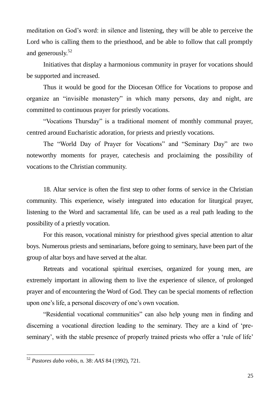meditation on God's word: in silence and listening, they will be able to perceive the Lord who is calling them to the priesthood, and be able to follow that call promptly and generously.<sup>52</sup>

Initiatives that display a harmonious community in prayer for vocations should be supported and increased.

Thus it would be good for the Diocesan Office for Vocations to propose and organize an "invisible monastery" in which many persons, day and night, are committed to continuous prayer for priestly vocations.

"Vocations Thursday" is a traditional moment of monthly communal prayer, centred around Eucharistic adoration, for priests and priestly vocations.

The "World Day of Prayer for Vocations" and "Seminary Day" are two noteworthy moments for prayer, catechesis and proclaiming the possibility of vocations to the Christian community.

18. Altar service is often the first step to other forms of service in the Christian community. This experience, wisely integrated into education for liturgical prayer, listening to the Word and sacramental life, can be used as a real path leading to the possibility of a priestly vocation.

For this reason, vocational ministry for priesthood gives special attention to altar boys. Numerous priests and seminarians, before going to seminary, have been part of the group of altar boys and have served at the altar.

Retreats and vocational spiritual exercises, organized for young men, are extremely important in allowing them to live the experience of silence, of prolonged prayer and of encountering the Word of God. They can be special moments of reflection upon one's life, a personal discovery of one's own vocation.

"Residential vocational communities" can also help young men in finding and discerning a vocational direction leading to the seminary. They are a kind of 'preseminary', with the stable presence of properly trained priests who offer a 'rule of life'

<sup>52</sup> *Pastores dabo vobis,* n. 38: *AAS* 84 (1992), 721.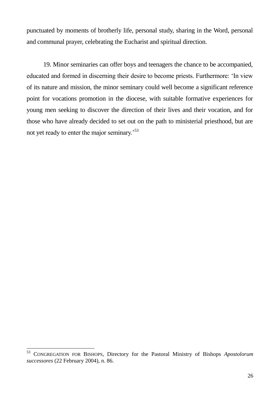punctuated by moments of brotherly life, personal study, sharing in the Word, personal and communal prayer, celebrating the Eucharist and spiritual direction.

19. Minor seminaries can offer boys and teenagers the chance to be accompanied, educated and formed in discerning their desire to become priests. Furthermore: 'In view of its nature and mission, the minor seminary could well become a significant reference point for vocations promotion in the diocese, with suitable formative experiences for young men seeking to discover the direction of their lives and their vocation, and for those who have already decided to set out on the path to ministerial priesthood, but are not yet ready to enter the major seminary.<sup>53</sup>

<sup>53</sup> <sup>53</sup> CONGREGATION FOR BISHOPS, Directory for the Pastoral Ministry of Bishops *Apostolorum successores* (22 February 2004), n. 86.